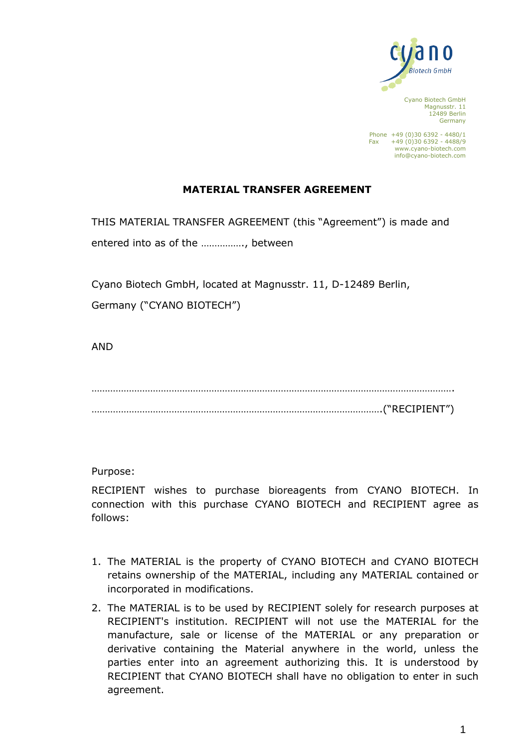

Cyano Biotech GmbH Magnusstr. 11 12489 Berlin Germany

Phone +49 (0)30 6392 - 4480/1 Fax  $+49(0)306392 - 4488/9$ [www.cyano-biotech.com](http://www.cyano-biotech.com/) info@cyano-biotech.com

## **MATERIAL TRANSFER AGREEMENT**

THIS MATERIAL TRANSFER AGREEMENT (this "Agreement") is made and entered into as of the ……………., between

Cyano Biotech GmbH, located at Magnusstr. 11, D-12489 Berlin,

Germany ("CYANO BIOTECH")

AND

………………………………………………………………………………………………………………………. ……………………………………………………………………………………………….("RECIPIENT")

Purpose:

RECIPIENT wishes to purchase bioreagents from CYANO BIOTECH. In connection with this purchase CYANO BIOTECH and RECIPIENT agree as follows:

- 1. The MATERIAL is the property of CYANO BIOTECH and CYANO BIOTECH retains ownership of the MATERIAL, including any MATERIAL contained or incorporated in modifications.
- 2. The MATERIAL is to be used by RECIPIENT solely for research purposes at RECIPIENT's institution. RECIPIENT will not use the MATERIAL for the manufacture, sale or license of the MATERIAL or any preparation or derivative containing the Material anywhere in the world, unless the parties enter into an agreement authorizing this. It is understood by RECIPIENT that CYANO BIOTECH shall have no obligation to enter in such agreement.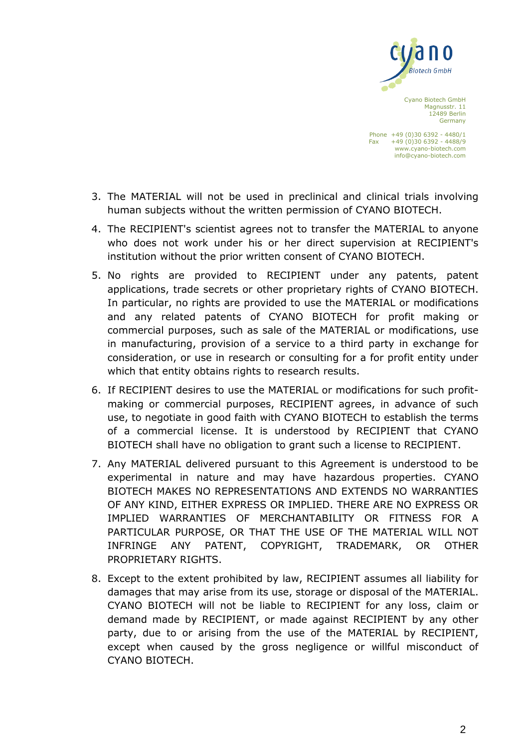

Cyano Biotech GmbH Magnusstr. 11 12489 Berlin Germany

Phone +49 (0)30 6392 - 4480/1 Fax  $+49(0)306392 - 4488/9$ [www.cyano-biotech.com](http://www.cyano-biotech.com/) info@cyano-biotech.com

- 3. The MATERIAL will not be used in preclinical and clinical trials involving human subjects without the written permission of CYANO BIOTECH.
- 4. The RECIPIENT's scientist agrees not to transfer the MATERIAL to anyone who does not work under his or her direct supervision at RECIPIENT's institution without the prior written consent of CYANO BIOTECH.
- 5. No rights are provided to RECIPIENT under any patents, patent applications, trade secrets or other proprietary rights of CYANO BIOTECH. In particular, no rights are provided to use the MATERIAL or modifications and any related patents of CYANO BIOTECH for profit making or commercial purposes, such as sale of the MATERIAL or modifications, use in manufacturing, provision of a service to a third party in exchange for consideration, or use in research or consulting for a for profit entity under which that entity obtains rights to research results.
- 6. If RECIPIENT desires to use the MATERIAL or modifications for such profitmaking or commercial purposes, RECIPIENT agrees, in advance of such use, to negotiate in good faith with CYANO BIOTECH to establish the terms of a commercial license. It is understood by RECIPIENT that CYANO BIOTECH shall have no obligation to grant such a license to RECIPIENT.
- 7. Any MATERIAL delivered pursuant to this Agreement is understood to be experimental in nature and may have hazardous properties. CYANO BIOTECH MAKES NO REPRESENTATIONS AND EXTENDS NO WARRANTIES OF ANY KIND, EITHER EXPRESS OR IMPLIED. THERE ARE NO EXPRESS OR IMPLIED WARRANTIES OF MERCHANTABILITY OR FITNESS FOR A PARTICULAR PURPOSE, OR THAT THE USE OF THE MATERIAL WILL NOT INFRINGE ANY PATENT, COPYRIGHT, TRADEMARK, OR OTHER PROPRIETARY RIGHTS.
- 8. Except to the extent prohibited by law, RECIPIENT assumes all liability for damages that may arise from its use, storage or disposal of the MATERIAL. CYANO BIOTECH will not be liable to RECIPIENT for any loss, claim or demand made by RECIPIENT, or made against RECIPIENT by any other party, due to or arising from the use of the MATERIAL by RECIPIENT, except when caused by the gross negligence or willful misconduct of CYANO BIOTECH.